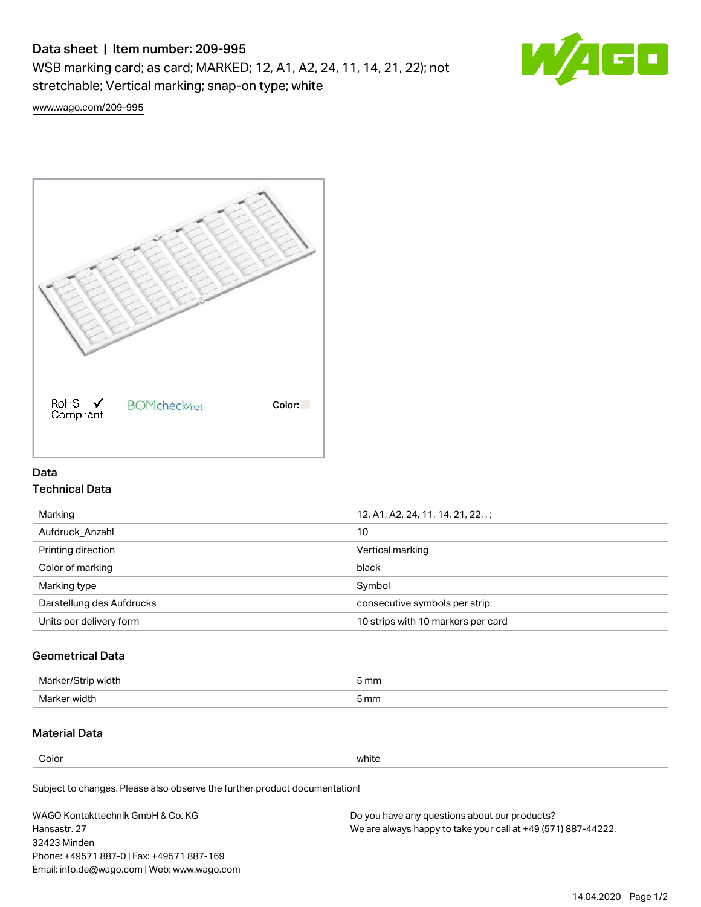# Data sheet | Item number: 209-995

WSB marking card; as card; MARKED; 12, A1, A2, 24, 11, 14, 21, 22); not stretchable; Vertical marking; snap-on type; white



[www.wago.com/209-995](http://www.wago.com/209-995)



# Data Technical Data

| Marking                   | 12, A1, A2, 24, 11, 14, 21, 22, .; |  |
|---------------------------|------------------------------------|--|
| Aufdruck Anzahl           | 10                                 |  |
| Printing direction        | Vertical marking                   |  |
| Color of marking          | black                              |  |
| Marking type              | Symbol                             |  |
| Darstellung des Aufdrucks | consecutive symbols per strip      |  |
| Units per delivery form   | 10 strips with 10 markers per card |  |

# Geometrical Data

| طلقاء ئ<br><b>Marker</b><br>widtr | ັກmm |
|-----------------------------------|------|
| Marker width                      | 5 mm |

# Material Data

Color white

Subject to changes. Please also observe the further product documentation!

WAGO Kontakttechnik GmbH & Co. KG Hansastr. 27 32423 Minden Phone: +49571 887-0 | Fax: +49571 887-169 Email: info.de@wago.com | Web: www.wago.com Do you have any questions about our products? We are always happy to take your call at +49 (571) 887-44222.